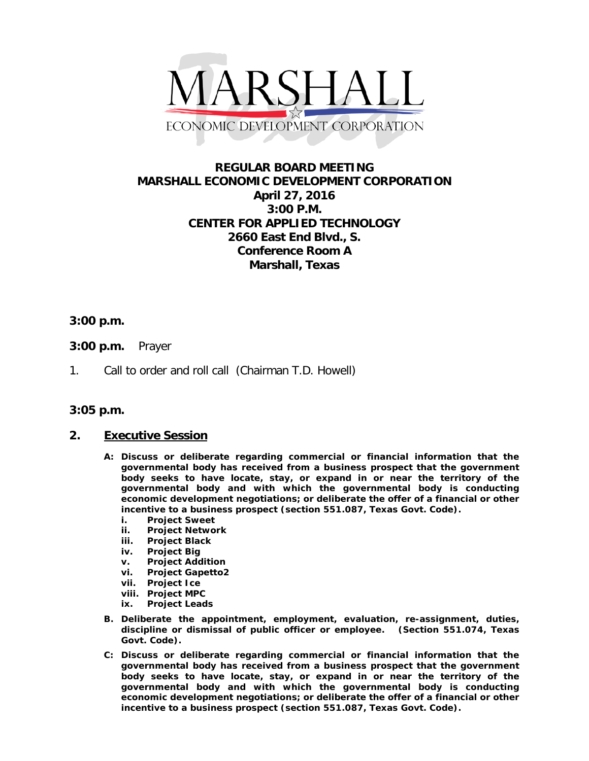

# **REGULAR BOARD MEETING MARSHALL ECONOMIC DEVELOPMENT CORPORATION April 27, 2016 3:00 P.M. CENTER FOR APPLIED TECHNOLOGY 2660 East End Blvd., S. Conference Room A Marshall, Texas**

### **3:00 p.m.**

- **3:00 p.m.** Prayer
- 1. Call to order and roll call (Chairman T.D. Howell)

### **3:05 p.m.**

### **2. Executive Session**

- **A: Discuss or deliberate regarding commercial or financial information that the governmental body has received from a business prospect that the government body seeks to have locate, stay, or expand in or near the territory of the governmental body and with which the governmental body is conducting economic development negotiations; or deliberate the offer of a financial or other incentive to a business prospect (section 551.087, Texas Govt. Code).**
	- **i. Project Sweet**
	- **ii. Project Network**
	- **iii. Project Black**
	- **iv. Project Big**
	- **v. Project Addition**
	- **vi. Project Gapetto2**
	- **Project Ice**
	- **viii. Project MPC**
	- **ix. Project Leads**
- **B. Deliberate the appointment, employment, evaluation, re-assignment, duties, discipline or dismissal of public officer or employee. (Section 551.074, Texas Govt. Code).**
- **C: Discuss or deliberate regarding commercial or financial information that the governmental body has received from a business prospect that the government body seeks to have locate, stay, or expand in or near the territory of the governmental body and with which the governmental body is conducting economic development negotiations; or deliberate the offer of a financial or other incentive to a business prospect (section 551.087, Texas Govt. Code).**